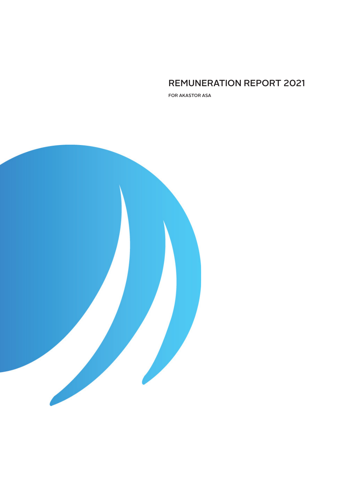# REMUNERATION REPORT 2021

FOR AKASTOR ASA

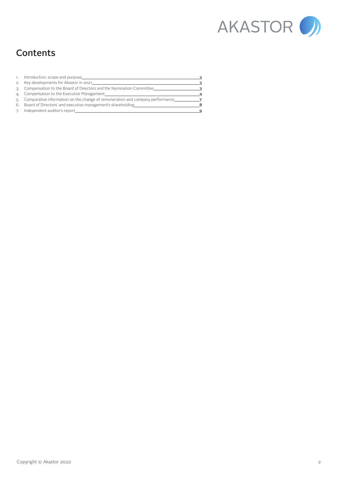

# **Contents**

| 1. Introduction, scope and purpose                                               | ີ       |
|----------------------------------------------------------------------------------|---------|
| 2. Key developments for Akastor in 2021                                          | ີ       |
| 3. Compensation to the Board of Directors and the Nomination Committee           | ີ       |
| 4. Compensation to the Executive Management                                      |         |
| 5. Comparative information on the change of remuneration and company performance |         |
| 6. Board of Directors' and executive management's shareholding                   | я       |
| 7. Independent auditor's report                                                  | $\circ$ |
|                                                                                  |         |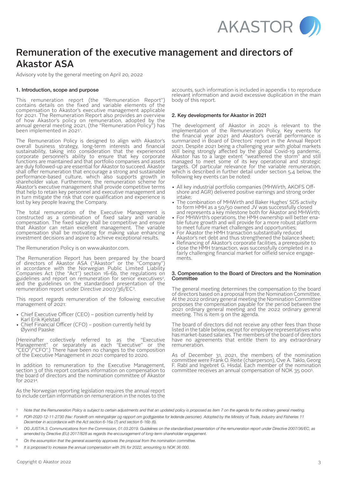

# Remuneration of the executive management and directors of Akastor ASA

Advisory vote by the general meeting on April 20, 2022

## 1. Introduction, scope and purpose

This remuneration report (the "Remuneration Report") contains details on the fixed and variable elements of the compensation to Akastor's executive management applicable for 2021. The Remuneration Report also provides an overview of how Akastor's policy on remuneration, adopted by the annual general meeting 2021, (the "Remuneration Policy") has been implemented in 2021'.

The Remuneration Policy is designed to align with Akastor's overall business strategy, long-term interests and financial sustainability, taking into consideration that the experienced corporate personnel's ability to ensure that key corporate functions are maintained and that portfolio companies and assets are duly followed-up are essential for Akastor to succeed. Akastor shall offer remuneration that encourage a strong and sustainable performance-based culture, which also supports growth in shareholder value. Furthermore, the remuneration scheme for Akastor's executive management shall provide competitive terms that help to retain key personnel and executive management and in turn mitigate the risk that core qualification and experience is lost by key people leaving the Company.

The total remuneration of the Executive Management is constructed as a combination of fixed salary and variable compensation. The fixed salary shall be competitive and ensure that Akastor can retain excellent management. The variable compensation shall be motivating for making value enhancing investment decisions and aspire to achieve exceptional results.

The Remuneration Policy is on www.akastor.com.

The Remuneration Report has been prepared by the board of directors of Akastor ASA ("Akastor" or the "Company") in accordance with the Norwegian Public Limited Liability Companies Act (the "Act") section 16-6b, the regulations on guidelines and report on remuneration for senior executives? guidelines and report on remuneration for sensing and the guidelines on the standardised presentation of the remuneration report under Directive 2007/36/EC3.

This report regards remuneration of the following executive management of 2021:

- Chief Executive Officer (CEO) position currently held by Karl Erik Kjelstad
- Chief Financial Officer (CFO) position currently held by Øyvind Paaske

(Hereinafter collectively referred to as the "Executive Management" or separately as each "Executive" or the "CEO"/"CFO".) There have been no changes to the composition of the Executive Management in 2021 compared to 2020.

In addition to remuneration to the Executive Management, section 3 of this report contains information on compensation to the board of directors and the nomination committee of Akastor  $for 20214$ 

As the Norwegian reporting legislation requires the annual report to include certain information on remuneration in the notes to the

accounts, such information is included in appendix 1 to reproduce relevant information and avoid excessive duplication in the main body of this report.

## 2. Key developments for Akastor in 2021

The development of Akastor in 2021 is relevant to the implementation of the Remuneration Policy. Key events for the financial year 2021 and Akastor's overall performance is summarized in Board of Directors' report in the Annual Report 2021. Despite 2021 being a challenging year with global markets still being strongly affected by the global Covid-19 pandemic, Akastor has to a large extent "weathered the storm" and still managed to meet some of its key operational and strategic targets. Of particular relevance for the variable remuneration, which is described in further detail under section 5.4 below, the following key events can be noted:

- All key industrial portfolio companies (MHWirth, AKOFS Off- shore and AGR) delivered positive earnings and strong order intake;
- The combination of MHWirth and Baker Hughes' SDS activity to form HMH as a 50/50 owned JV was successfully closed
- and represents a key milestone both for Akastor and MHWirth;<br>For MHWirth's operations, the HMH ownership will better enable future growth and will provide for a more robust platform to meet future market challenges and opportunities;
- For Akastor the HMH transaction substantially reduced Akastor's net debt and thus strengthened the balance sheet;
- Refinancing of Akastor's corporate facilities, a prerequisite to close the HMH transaction, was successfully completed in a fairly challenging financial market for oilfield service engage- ments.

#### 3. Compensation to the Board of Directors and the Nomination **Committee**

The general meeting determines the compensation to the board of directors based on a proposal from the Nomination Committee. At the 2022 ordinary general meeting the Nomination Committee proposes the compensation payable for the period between the 2021 ordinary general meeting and the 2022 ordinary general meeting. This is item 9 on the agenda.

The board of directors did not receive any other fees than those listed in the table below, except for employee representatives who has market-based salaries. The members of the board of directors have no agreements that entitle them to any extraordinary remuneration.

As of December 31, 2021, the members of the nomination committee were Frank O. Reite (chairperson), Ove A. Taklo, Georg F. Rabl and Ingebret G. Hisdal. Each member of the nomination committee receives an annual compensation of NOK 35 0005 .

- <sup>1)</sup> Note that the Remuneration Policy is subject to certain adjustments and that an updated policy is proposed as item 7 on the agenda for the ordinary general meeting.
- <sup>2)</sup> FOR-2020-12-11-2730 (Nw: Forskrift om retningslinjer og rapport om godtgjørelse for ledende personer). Adopted by the Ministry of Trade, Industry and Fisheries 11 *December in accordance with the Act section 6-16a (7) and section 6-16b (6).*
- *3) DG JUST/A.3. Communications from the Commission, 01.03.2019. Guidelines on the standardised presentation of the remuneration report under Directive 2007/36/EC, as amended by Directive (EU) 2017/828 as regards the encouragement of long-term shareholder engagement.*
- *4) On the assumption that the general assembly approves the proposal from the nomination committee.*
- *5) It is proposed to increase the annual compensation with 3% for 2022, amounting to NOK 36 000.*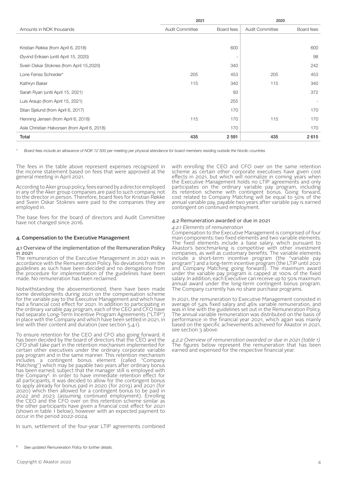|                                               | 2021            |            | 2020            |            |
|-----------------------------------------------|-----------------|------------|-----------------|------------|
| Amounts in NOK thousands                      | Audit Committee | Board fees | Audit Committee | Board fees |
|                                               |                 |            |                 |            |
| Kristian Røkke (from April 6, 2018)           |                 | 600        |                 | 600        |
| Øyvind Eriksen (until April 15, 2020)         |                 | ٠          |                 | 98         |
| Svein Oskar Stoknes (from April 15,2020)      |                 | 340        |                 | 242        |
| Lone Fønss Schrøder*                          | 205             | 453        | 205             | 453        |
| Kathryn Baker                                 | 115             | 340        | 115             | 340        |
| Sarah Ryan (until April 15, 2021)             |                 | 93         |                 | 372        |
| Luis Araujo (from April 15, 2021)             |                 | 255        |                 |            |
| Stian Sjølund (from April 6, 2017)            |                 | 170        |                 | 170        |
| Henning Jensen (from April 6, 2018)           | 115             | 170        | 115             | 170        |
| Asle Christian Halvorsen (from April 6, 2018) |                 | 170        |                 | 170        |
| Total                                         | 435             | 2 5 9 1    | 435             | 2615       |

*\* Board fees include an allowance of NOK 12 500 per meeting per physical atendance for board members residing outside the Nordic countries*

The fees in the table above represent expenses recognized in the income statement based on fees that were approved at the general meeting in April 2021.

According to Aker group policy, fees earned by a director employed in any of the Aker group companies are paid to such company, not to the director in person. Therefore, board fees for Kristian Røkke and Svein Oskar Stoknes were paid to the companies they are employed in.

The base fees for the board of directors and Audit Committee have not changed since 2016.

## 4. Compensation to the Executive Management

#### 4.1 Overview of the implementation of the Remuneration Policy  $in 2021$

The remuneration of the Executive Management in 2021 was in accordance with the Remuneration Policy. No deviations from the guidelines as such have been decided and no derogations from the procedure for implementation of the guidelines have been made. No remuneration has been reclaimed.

Notwithstanding the abovementioned, there have been made some developments during 2021 on the compensation scheme for the variable pay to the Executive Management and which have had a financial cost effect for 2021. In addition to participating in the ordinary variable pay program, each of the CEO and CFO have had separate Long-Term Incentive Program Agreements ("LTIP") in place with the Company and which have been settled in 2021, in line with their content and duration (see section 5.4.1).

To ensure retention for the CEO and CFO also going forward, it has been decided by the board of directors that the CEO and the CFO shall take part in the retention mechanism implemented for certain other executives under the ordinary corporate variable pay program and in the same manner. This retention mechanism includes a contingent bonus element (called "Company Matching") which may be payable two years after ordinary bonus has been earned, subject that the manager still is employed with the Company6. In order to have immediate retention effect for all participants, it was decided to allow for the contingent bonus to apply already for bonus paid in 2020 (for 2019) and 2021 (for 2020) which then allowed for a contingent bonus to be paid in 2022 and 2023 (assuming continued employment). Enrolling the CEO and the CFO over on this retention scheme similar as the other participants have given a financial cost effect for 2021 (shown in table 1 below), however with an expected payment to occur in the period 2022-2024.

In sum, settlement of the four-year LTIP agreements combined

with enrolling the CEO and CFO over on the same retention scheme as certain other corporate executives have given cost effects in 2021, but which will normalize in coming years when the Executive Management holds no LTIP agreements and only participates on the ordinary variable pay program, including its retention scheme with contingent bonus. Going forward, cost related to Company Matching will be equal to 50% of the annual variable pay, payable two years after variable pay is earned contingent on continued employment.

#### 4.2 Remuneration awarded or due in 2021

### *4.2.1 Elements of remuneration*

Compensation to the Executive Management is comprised of four main components: two fixed elements and two variable elements. The fixed elements include a base salary, which pursuant to Akastor's benchmarking is competitive with other investment companies, as well as customary benefits. The variable elements include a short-term incentive program (the "variable pay program") and a long-term incentive program (the LTIP until 2021 and Company Matching going forward). The maximum award under the variable pay program is capped at 100% of the fixed salary. In addition, each Executive can receive up to 50% maximum annual award under the long-term contingent bonus program. The Company currently has no share purchase programs.

In 2021, the remuneration to Executive Management consisted in average of 54% fixed salary and 46% variable remuneration, and was in line with the guidelines set out in the Remuneration Policy. The annual variable remuneration was distributed on the basis of performance in the financial year 2021, which again was mainly based on the specific achievements achieved for Akastor in 2021, see section 3 above.

*4.2.2 Overview of remuneration awarded or due in 2021 (table 1)* The figures below represent the remuneration that has been earned and expensed for the respective financial year.

*<sup>6)</sup> See updated Remuneration Policy for further details.*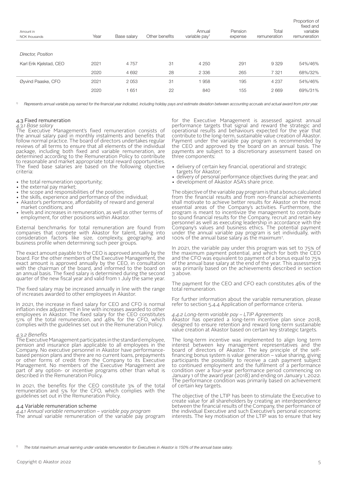| Amount in<br>NOK thousands | Year | Base salary | Other benefits | Annual<br>variable pay <sup>1</sup> | Pension<br>expense | Total<br>remuneration | Proportion of<br>fixed and<br>variable<br>remuneration |
|----------------------------|------|-------------|----------------|-------------------------------------|--------------------|-----------------------|--------------------------------------------------------|
|                            |      |             |                |                                     |                    |                       |                                                        |
| <b>Director, Position</b>  |      |             |                |                                     |                    |                       |                                                        |
| Karl Erik Kjelstad, CEO    | 2021 | 4 7 5 7     | 31             | 4 2 5 0                             | 291                | 9 3 2 9               | 54%/46%                                                |
|                            | 2020 | 4 6 9 2     | 28             | 2 3 3 6                             | 265                | 7 3 2 1               | 68%/32%                                                |
| Øyvind Paaske, CFO         | 2021 | 2 0 5 3     | 31             | 1958                                | 195                | 4 2 3 7               | 54%/46%                                                |
|                            | 2020 | 651         | 22             | 840                                 | 155                | 2669                  | 69%/31%                                                |
|                            |      |             |                |                                     |                    |                       |                                                        |

Represents annual variable pay earned for the financial vear indicated, including holiday pays and estimate deviation between accounting accruals and actual award from prior year.

## 4.3 Fixed remuneration

#### *4.3.1 Base salary*

The Executive Management's fixed remuneration consists of the annual salary paid in monthly instalments and benefits that follow normal practice. The board of directors undertakes regular reviews of all terms to ensure that all elements of the individual package, including both fixed and variable remuneration, are determined according to the Remuneration Policy to contribute to reasonable and market appropriate total reward opportunities. The fixed base salaries are based on the following objective criteria:

- the total remuneration opportunity;
- the external pay market;
- the scope and responsibilities of the position;
- the skills, experience and performance of the individual;
- Akastor's performance, affordability of reward and general market conditions; and
- levels and increases in remuneration, as well as other terms of employment, for other positions within Akastor.

External benchmarks for total remuneration are found from companies that compete with Akastor for talent, taking into consideration factors like size, complexity, geography, and business profile when determining such peer groups.

The exact amount payable to the CEO is approved annually by the board. For the other members of the Executive Management, the exact amount is approved annually by the CEO, in consultation with the chairman of the board, and informed to the board on an annual basis. The fixed salary is determined during the second quarter of the new fiscal year and valid from 1 July the same year.

The fixed salary may be increased annually in line with the range of increases awarded to other employees in Akastor.

In 2021, the increase in fixed salary for CEO and CFO is normal inflation index adjustment in line with increases awarded to other employees in Akastor. The fixed salary for the CEO constitutes 51% of the total remuneration, and 48% for the CFO, which complies with the guidelines set out in the Remuneration Policy.

## *4.3.2 Benefits*

The Executive Management participates in the standard employee, pension and insurance plan applicable to all employees in the Company. No executive personnel in Akastor have performancebased pension plans and there are no current loans, prepayments or other forms of credit from the Company to its Executive Management. No members of the Executive Management are part of any option- or incentive programs other than what is described in the Remuneration Policy.

In 2021, the benefits for the CEO constitute 3% of the total remuneration and 5% for the CFO, which complies with the guidelines set out in the Remuneration Policy.

#### 4.4 Variable remuneration scheme

*4.4.1 Annual variable remuneration – variable pay program* The annual variable remuneration of the variable pay program for the Executive Management is assessed against annual performance targets that signal and reward the strategic and operational results and behaviours expected for the year that contribute to the long-term, sustainable value creation of Akastor. Payment under the variable pay program is recommended by the CEO and approved by the board on an annual basis. The payments are subject to a discretionary assessment based on three components:

- delivery of certain key financial, operational and strategic targets for Akastor;
- delivery of personal performance objectives during the year; and
- development of Akastor ASA's share price.

The objective of the variable pay program is that a bonus calculated from the financial results and from non-financial achievements shall motivate to achieve better results for Akastor on the most essential areas of the Company's activities. Furthermore, the program is meant to incentivize the management to contribute to sound financial results for the Company, recruit and retain key personnel as well as executing leadership in accordance with the Company's values and business ethics. The potential payment under the annual variable pay program is set individually, with 100% of the annual base salary as the maximum7.

In 2021, the variable pay under this program was set to 75% of the maximum payment potential, and which for both the CEO and the CFO was equivalent to payment of a bonus equal to 75% of the annual base salary at the end of the year. This assessment was primarily based on the achievements described in section 3 above.

The payment for the CEO and CFO each constitutes 46% of the total remuneration.

For further information about the variable remuneration, please refer to section 5.4.4 Application of performance criteria.

### *4.4.2 Long-term variable pay – LTIP Agreements*

Akastor has operated a long-term incentive plan since 2018, designed to ensure retention and reward long-term sustainable value creation at Akastor based on certain key strategic targets.

The long-term incentive was implemented to align long term interest between key management representatives and the board of directors of Akastor. The key principle of the selffinancing bonus system is value generation – value sharing, giving participants the possibility to receive a cash payment subject to continued employment and the fulfilment of a performance condition over a four-year performance period commencing on January 1 of the award year (2018) and ending on January 1, 2022. The performance condition was primarily based on achievement of certain key targets.

The objective of the LTIP has been to stimulate the Executive to create value for all shareholders by creating an interdependence between the financial results of the Company, the performance of the individual Executive and such Executive's personal economic interests. The key motivation of the LTIP was to ensure that key

*7) The total maximum annual earning under variable remuneration for Executives in Akastor is 150% of the annual base salary.*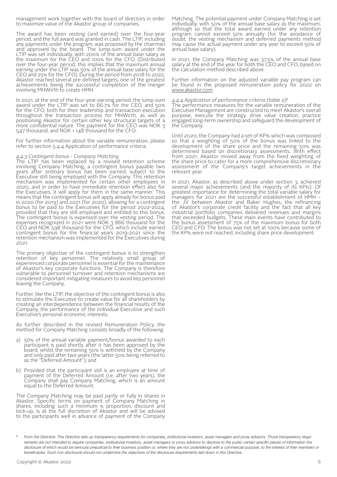management work together with the board of directors in order to maximize value of the Akastor group of companies.

The award has been vesting (and earned) over the four-year period, and the full award was granted in cash. The LTIP, including any payments under the program, was proposed by the chairman and approved by the board. The lump-sum award under the LTIP was set individually, with 200% of the annual base salary as the maximum for the CEO and 100% for the CFO. (Distributed over the four-year period, this implies that the maximum annual earning under the LTIP was 50% of the annual base salary for the CEO and 25% for the CFO). During the period from 2018 to 2022, Akastor reached several pre-defined targets, one of the greatest achievements being the successful completion of the merger involving MHWirth to create HMH.

In 2021, at the end of the four-year earning period, the lump-sum award under the LTIP was set to 66.7% for the CEO, and 50% for the CFO, both for their leadership and transaction execution throughout the transaction process for MHWirth, as well as positioning Akastor for certain other key structural targets of a more confidential nature. The payment for the CEO was NOK 3 547 thousand, and NOK 1 148 thousand for the CFO.

For further information about the variable remuneration, please refer to section 5.4.4 Application of performance criteria.

# *4.4.3 Contingent bonus - Company Matching*

The LTIP has been replaced by a revised retention scheme involving Company Matching, a contingent bonus payable two years after ordinary bonus has been earned, subject to the Executive still being employed with the Company. This retention mechanism was implemented for certain other employees in 2020, and in order to have immediate retention effect also for the Executives, it will apply for them in the same manner. This means that the contingent bonus will apply already for bonus paid in 2020 (for 2019) and 2021 (for 2020), allowing for a contingent bonus to be paid to the Executives for the period 2022-2024, provided that they are still employed and entitled to this bonus. The contingent bonus is expensed over the vesting period. The expenses recognized in 2021 were NOK 3 866 thousand for the CEO and NOK 598 thousand for the CFO, which include earned contingent bonus for the financial years 2019-2021 since the retention mechanism was implemented for the Executives during 2021.

The primary objective of the contingent bonus is to strengthen retention of key personnel. The relatively small group of experienced corporate personnel is essential for the maintenance of Akastor's key corporate functions. The Company is therefore vulnerable to personnel turnover and retention mechanisms are considered important mitigating measures to avoid key personnel leaving the Company.

Further, like the LTIP, the objective of the contingent bonus is also to stimulate the Executive to create value for all shareholders by creating an interdependence between the financial results of the Company, the performance of the individual Executive and such Executive's personal economic interests.

As further described in the revised Remuneration Policy, the method for Company Matching consists broadly of the following:

- a) 50% of the annual variable payment/bonus awarded to each participant is paid shortly after it has been approved by the board, whilst the remaining 50% is withheld by the Company and only paid after two years (the latter 50% being referred to as the "Deferred Amount"); and
- b) Provided that the participant still is an employee at time of payment of the Deferred Amount (i.e. after two years), the Company shall pay Company Matching, which is an amount equal to the Deferred Amount.

The Company Matching may be paid partly or fully in shares in Akastor. Specific terms on payment of Company Matching in shares, including such a minimum % proportion, discount and lock-up, is at the full discretion of Akastor and will be advised to the participants well in advance of payment of the Company

Matching. The potential payment under Company Matching is set individually, with 50% of the annual base salary as the maximum, although so that the total award earned under any retention program cannot exceed 50% annually (for the avoidance of doubt, the vesting mechanism and deferred payments method may cause the actual payment under any year to exceed 50% of annual base salary).

In 2021, the Company Matching was 37.5% of the annual base salary at the end of the year for both the CEO and CFO, based on the calculation method described above.

Further information on the adjusted variable pay program can be found in the proposed remuneration policy for 2022 on www.akastor.com.

## *4.4.4 Application of performance criteria (table 2)8*

The performance measures for the variable remuneration of the Executive Management are constructed to meet Akastor's overall purpose, execute the strategy, drive value creation, practice engaged long-term ownership and safeguard the development of the Company.

Until 2020, the Company had a set of KPIs which was composed so that a weighting of 50% of the bonus was linked to the development of the share price and the remaining 50% was determined based on discretionary assessments. With effect from 2021, Akastor moved away from the fixed weighting of the share price to cater for a more comprehensive discretionary assessment of the Company's target achievements in the relevant year.

In 2021, Akastor, as described above under section 3, achieved several major achievements (and the majority of its KPIs). Of greatest importance for determining the total variable salary for managers for 2021 are the successful establishment of HMH the JV between Akastor and Baker Hughes, the refinancing of Akastor's corporate credit facility and the fact that all key industrial portfolio companies delivered revenues and margins that exceeded budgets. These main events have contributed to the bonus assessment of 75% of the maximum bonus for both CEO and CFO. The bonus was not set at 100% because some of the KPIs were not reached, including share price development.

*<sup>8)</sup> From the Directive: This Directive sets up transparency requirements for companies, institutional investors, asset managers and proxy advisors. Those transparency requi*rements are not intended to require companies, institutional investors, asset managers or proxy advisors to disclose to the public certain specific pieces of information the disclosure of which would be seriously prejudicial to their business position or, where they are not undertakings with a commercial purpose, to the interest of their members or beneficiaries. Such non-disclosure should not undermine the objectives of the disclosure requirements laid down in this Directive.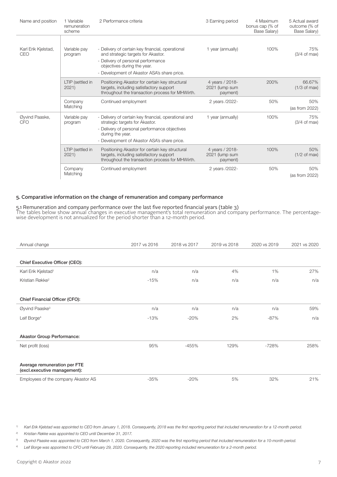| Name and position            | 1 Variable<br>remuneration<br>scheme | 2 Performance criteria                                                                                                                                                                                     | 3 Earning period                              | 4 Maximum<br>bonus cap (% of<br>Base Salary) | 5 Actual award<br>outcome (% of<br>Base Salary) |
|------------------------------|--------------------------------------|------------------------------------------------------------------------------------------------------------------------------------------------------------------------------------------------------------|-----------------------------------------------|----------------------------------------------|-------------------------------------------------|
| Karl Erik Kjelstad,<br>CEO   | Variable pay<br>program              | - Delivery of certain key financial, operational<br>and strategic targets for Akastor.<br>- Delivery of personal performance<br>objectives during the year.<br>- Development of Akastor ASA's share price. | 1 year (annually)                             | 100%                                         | 75%<br>$(3/4 \text{ of } \text{max})$           |
|                              | LTIP (settled in<br>2021)            | Positioning Akastor for certain key structural<br>targets, including satisfactory support<br>throughout the transaction process for MHWirth.                                                               | 4 years / 2018-<br>2021 (lump sum<br>payment) | 200%                                         | 66.67%<br>$(1/3 \text{ of } \text{max})$        |
|                              | Company<br>Matching                  | Continued employment                                                                                                                                                                                       | 2 years /2022-                                | 50%                                          | 50%<br>(as from 2022)                           |
| Øyvind Paaske,<br><b>CFO</b> | Variable pay<br>program              | - Delivery of certain key financial, operational and<br>strategic targets for Akastor.<br>- Delivery of personal performance objectives<br>during the year.<br>- Development of Akastor ASA's share price. | 1 year (annually)                             | 100%                                         | 75%<br>$(3/4 \text{ of } max)$                  |
|                              | LTIP (settled in<br>2021)            | Positioning Akastor for certain key structural<br>targets, including satisfactory support<br>throughout the transaction process for MHWirth.                                                               | 4 years / 2018-<br>2021 (lump sum<br>payment) | 100%                                         | 50%<br>$(1/2 \text{ of } max)$                  |
|                              | Company<br>Matching                  | Continued employment                                                                                                                                                                                       | 2 years /2022-                                | 50%                                          | 50%<br>(as from $2022$ )                        |

# 5. Comparative information on the change of remuneration and company performance

5.1 Remuneration and company performance over the last five reported financial years (table 3) The tables below show annual changes in executive management's total remuneration and company performance. The percentagewise development is not annualized for the period shorter than a 12-month period.

| Annual change                                                | 2017 vs 2016 | 2018 vs 2017 | 2019 vs 2018 | 2020 vs 2019 | 2021 vs 2020 |
|--------------------------------------------------------------|--------------|--------------|--------------|--------------|--------------|
|                                                              |              |              |              |              |              |
| Chief Executive Officer (CEO):                               |              |              |              |              |              |
| Karl Erik Kjelstad <sup>1</sup>                              | n/a          | n/a          | 4%           | 1%           | 27%          |
| Kristian Røkke <sup>2</sup>                                  | $-15%$       | n/a          | n/a          | n/a          | n/a          |
|                                                              |              |              |              |              |              |
| Chief Financial Officer (CFO):                               |              |              |              |              |              |
| Øyvind Paaske <sup>3</sup>                                   | n/a          | n/a          | n/a          | n/a          | 59%          |
| Leif Borge <sup>4</sup>                                      | $-13%$       | $-20%$       | 2%           | $-87%$       | n/a          |
|                                                              |              |              |              |              |              |
| <b>Akastor Group Performance:</b>                            |              |              |              |              |              |
| Net profit (loss)                                            | 95%          | $-455%$      | 129%         | $-728%$      | 258%         |
|                                                              |              |              |              |              |              |
| Average remuneration per FTE<br>(excl.executive management): |              |              |              |              |              |
| Employees of the company Akastor AS                          | $-35%$       | $-20%$       | 5%           | 32%          | 21%          |

1) Karl Erik Kjelstad was appointed to CEO from January 1, 2018. Consequently, 2018 was the first reporting period that included remuneration for a 12-month period.

*2) Kristian Røkke was appointed to CEO until December 31, 2017.*

3) Øyvind Paaske was appointed to CEO from March 1, 2020. Consequently, 2020 was the first reporting period that included remuneration for a 10-month period.

*4) Leif Borge was appointed to CFO until February 29, 2020. Consequently, the 2020 reporting included remuneration for a 2-month period.*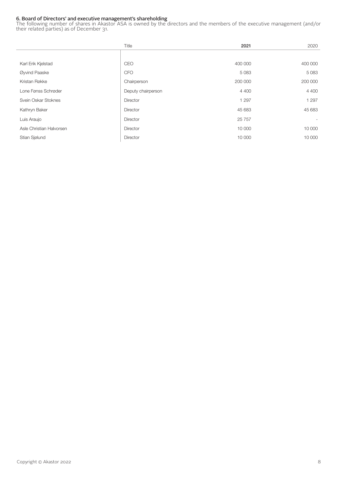# 6. Board of Directors' and executive management's shareholding

The following number of shares in Akastor ASA is owned by the directors and the members of the executive management (and/or their related parties) as of December 31.

|                          | Title              | 2021     | 2020    |
|--------------------------|--------------------|----------|---------|
|                          |                    |          |         |
| Karl Erik Kjelstad       | <b>CEO</b>         | 400 000  | 400 000 |
| Øyvind Paaske            | <b>CFO</b>         | 5083     | 5083    |
| Kristan Røkke            | Chairperson        | 200 000  | 200 000 |
| Lone Fønss Schrøder      | Deputy chairperson | 4 4 0 0  | 4 4 0 0 |
| Svein Oskar Stoknes      | Director           | 1 2 9 7  | 1 2 9 7 |
| Kathryn Baker            | Director           | 45 683   | 45 683  |
| Luis Araujo              | Director           | 25 7 5 7 |         |
| Asle Christian Halvorsen | Director           | 10 000   | 10 000  |
| Stian Sjølund            | Director           | 10 000   | 10 000  |